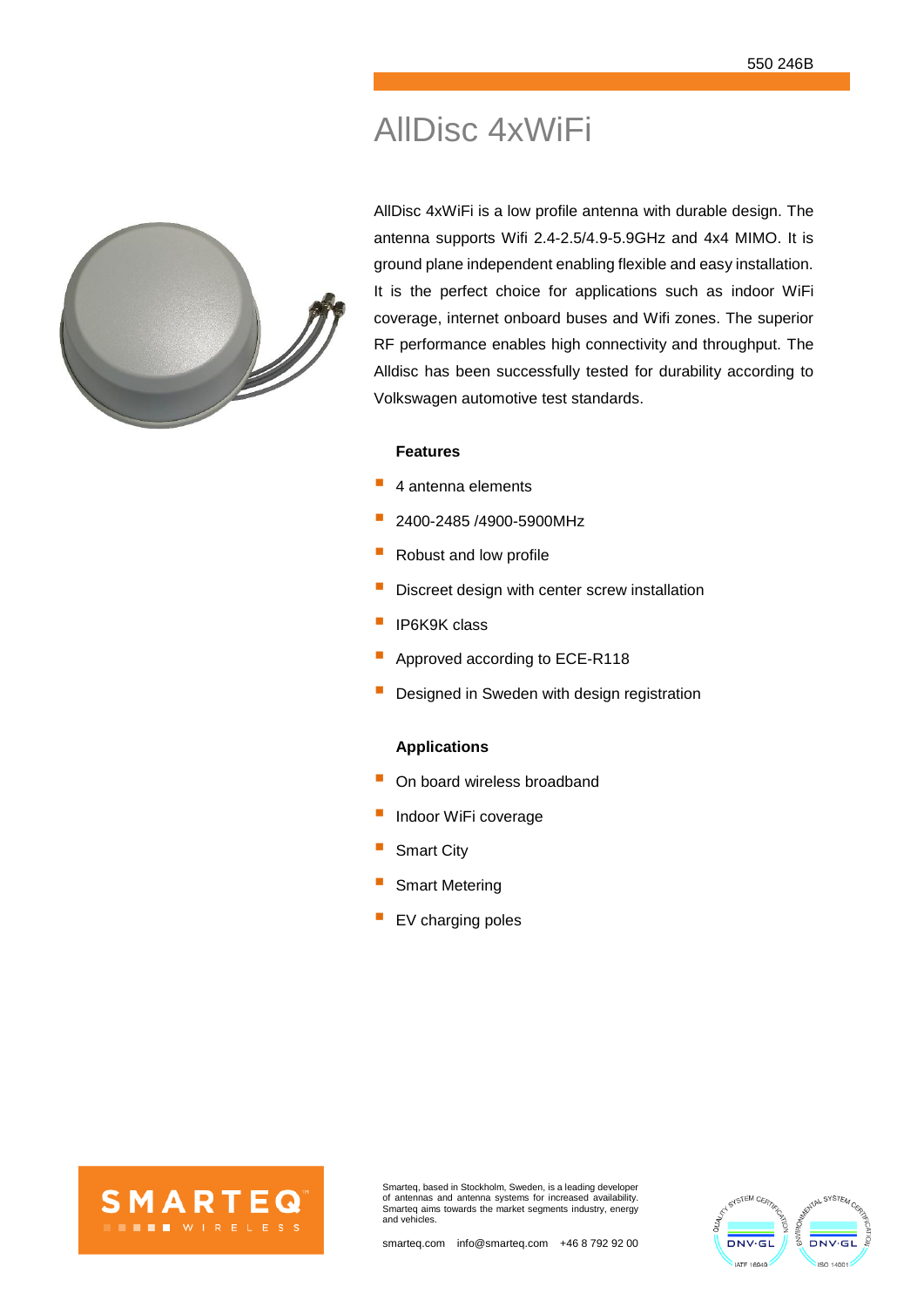# AllDisc 4xWiFi



AllDisc 4xWiFi is a low profile antenna with durable design. The antenna supports Wifi 2.4-2.5/4.9-5.9GHz and 4x4 MIMO. It is ground plane independent enabling flexible and easy installation. It is the perfect choice for applications such as indoor WiFi coverage, internet onboard buses and Wifi zones. The superior RF performance enables high connectivity and throughput. The Alldisc has been successfully tested for durability according to Volkswagen automotive test standards.

#### **Features**

- 4 antenna elements
- 2400-2485 /4900-5900MHz
- Robust and low profile
- Discreet design with center screw installation
- IP6K9K class
- Approved according to ECE-R118
- Designed in Sweden with design registration

# **Applications**

- On board wireless broadband
- Indoor WiFi coverage
- Smart City
- Smart Metering
- EV charging poles



Smarteq, based in Stockholm, Sweden, is a leading developer of antennas and antenna systems for increased availability. Smarteq aims towards the market segments industry, energy and vehicles.

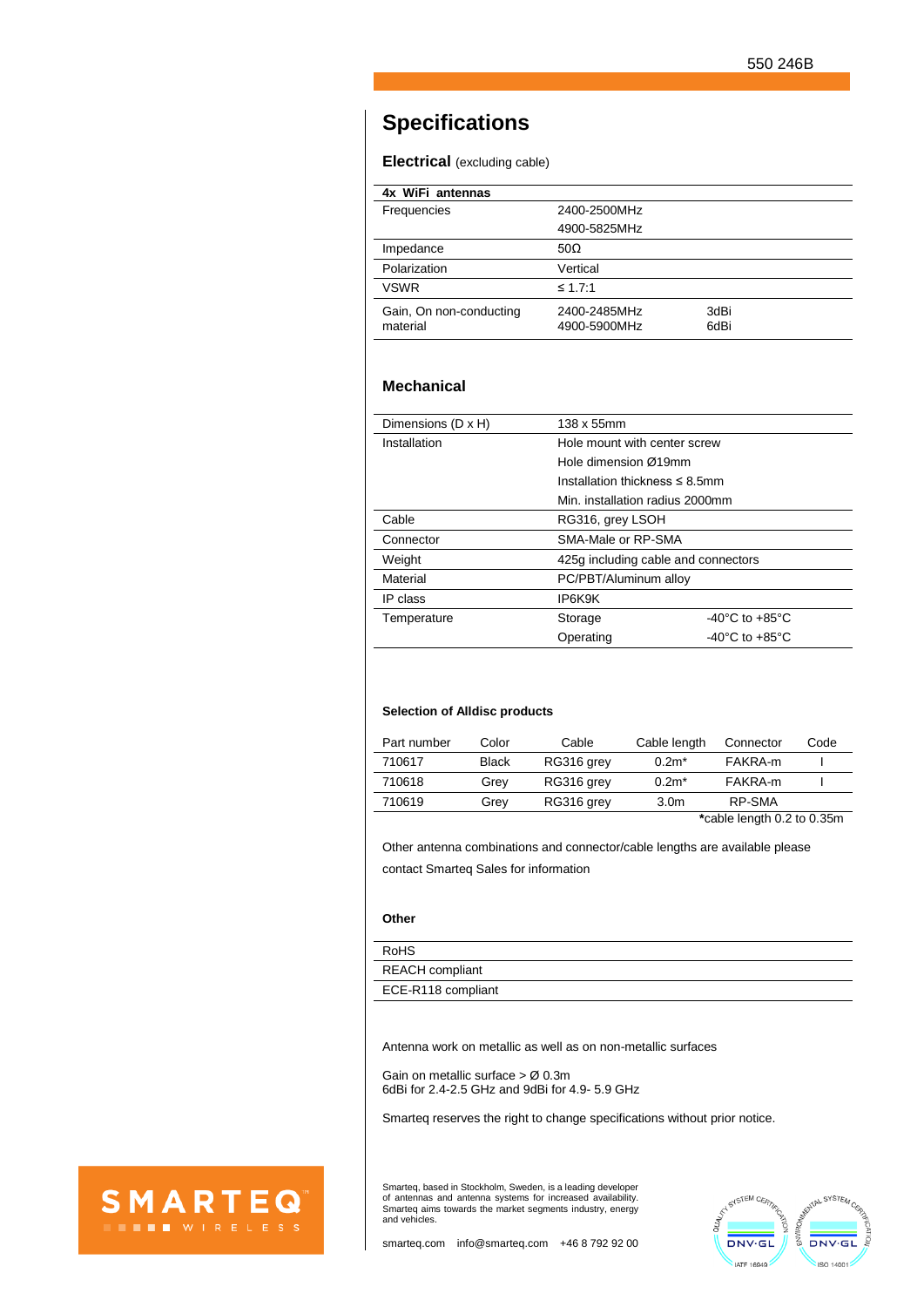# **Specifications**

## **Electrical** (excluding cable)

|  | 4x WiFi antennas |
|--|------------------|

| TA VIII HANGINGS                    |                              |              |  |
|-------------------------------------|------------------------------|--------------|--|
| Frequencies                         | 2400-2500MHz                 |              |  |
|                                     | 4900-5825MHz                 |              |  |
| Impedance                           | 50 $\Omega$                  |              |  |
| Polarization                        | Vertical                     |              |  |
| <b>VSWR</b>                         | ≤ 1.7:1                      |              |  |
| Gain, On non-conducting<br>material | 2400-2485MHz<br>4900-5900MHz | 3dBi<br>6dBi |  |

# **Mechanical**

| Dimensions (D x H) | 138 x 55mm                          |                                      |  |
|--------------------|-------------------------------------|--------------------------------------|--|
| Installation       | Hole mount with center screw        |                                      |  |
|                    | Hole dimension Ø19mm                |                                      |  |
|                    | Installation thickness $\leq$ 8.5mm |                                      |  |
|                    | Min. installation radius 2000mm     |                                      |  |
| Cable              | RG316, grey LSOH                    |                                      |  |
| Connector          | SMA-Male or RP-SMA                  |                                      |  |
| Weight             | 425q including cable and connectors |                                      |  |
| Material           | PC/PBT/Aluminum alloy               |                                      |  |
| IP class           | IP6K9K                              |                                      |  |
| Temperature        | Storage                             | $-40^{\circ}$ C to $+85^{\circ}$ C   |  |
|                    | Operating                           | -40 $^{\circ}$ C to +85 $^{\circ}$ C |  |

#### **Selection of Alldisc products**

| Part number                | Color        | Cable      | Cable length     | Connector | Code |
|----------------------------|--------------|------------|------------------|-----------|------|
| 710617                     | <b>Black</b> | RG316 grey | $0.2m*$          | FAKRA-m   |      |
| 710618                     | Grev         | RG316 grey | $0.2m*$          | FAKRA-m   |      |
| 710619                     | Grev         | RG316 grey | 3.0 <sub>m</sub> | RP-SMA    |      |
| *cable length 0.2 to 0.35m |              |            |                  |           |      |

Other antenna combinations and connector/cable lengths are available please contact Smarteq Sales for information

#### **Other**

| RoHS                   |
|------------------------|
| <b>REACH</b> compliant |
| ECE-R118 compliant     |

Antenna work on metallic as well as on non-metallic surfaces

Gain on metallic surface > Ø 0.3m 6dBi for 2.4-2.5 GHz and 9dBi for 4.9- 5.9 GHz

Smarteq reserves the right to change specifications without prior notice.

Smarteq, based in Stockholm, Sweden, is a leading developer of antennas and antenna systems for increased availability. Smarteq aims towards the market segments industry, energy and vehicles.